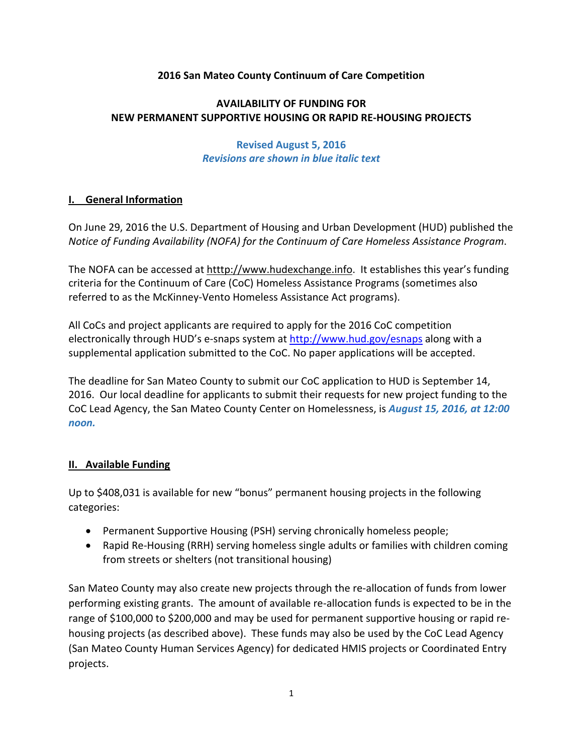#### **2016 San Mateo County Continuum of Care Competition**

# **AVAILABILITY OF FUNDING FOR NEW PERMANENT SUPPORTIVE HOUSING OR RAPID RE‐HOUSING PROJECTS**

#### **Revised August 5, 2016**  *Revisions are shown in blue italic text*

#### **I. General Information**

On June 29, 2016 the U.S. Department of Housing and Urban Development (HUD) published the *Notice of Funding Availability (NOFA) for the Continuum of Care Homeless Assistance Program*.

The NOFA can be accessed at htttp://www.hudexchange.info. It establishes this year's funding criteria for the Continuum of Care (CoC) Homeless Assistance Programs (sometimes also referred to as the McKinney‐Vento Homeless Assistance Act programs).

All CoCs and project applicants are required to apply for the 2016 CoC competition electronically through HUD's e-snaps system at http://www.hud.gov/esnaps along with a supplemental application submitted to the CoC. No paper applications will be accepted.

The deadline for San Mateo County to submit our CoC application to HUD is September 14, 2016. Our local deadline for applicants to submit their requests for new project funding to the CoC Lead Agency, the San Mateo County Center on Homelessness, is *August 15, 2016, at 12:00 noon.*

#### **II. Available Funding**

Up to \$408,031 is available for new "bonus" permanent housing projects in the following categories:

- Permanent Supportive Housing (PSH) serving chronically homeless people;
- Rapid Re-Housing (RRH) serving homeless single adults or families with children coming from streets or shelters (not transitional housing)

San Mateo County may also create new projects through the re‐allocation of funds from lower performing existing grants. The amount of available re‐allocation funds is expected to be in the range of \$100,000 to \$200,000 and may be used for permanent supportive housing or rapid re‐ housing projects (as described above). These funds may also be used by the CoC Lead Agency (San Mateo County Human Services Agency) for dedicated HMIS projects or Coordinated Entry projects.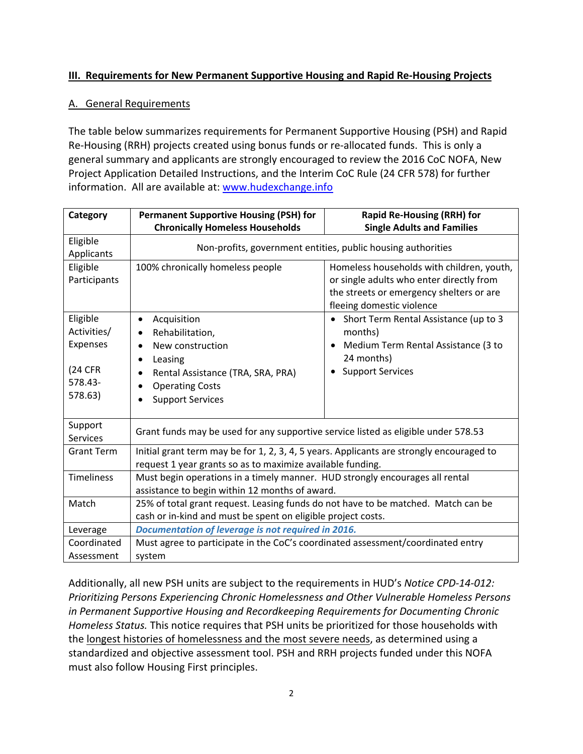# **III. Requirements for New Permanent Supportive Housing and Rapid Re‐Housing Projects**

#### A. General Requirements

The table below summarizes requirements for Permanent Supportive Housing (PSH) and Rapid Re-Housing (RRH) projects created using bonus funds or re-allocated funds. This is only a general summary and applicants are strongly encouraged to review the 2016 CoC NOFA, New Project Application Detailed Instructions, and the Interim CoC Rule (24 CFR 578) for further information. All are available at: www.hudexchange.info

| Category                             | <b>Permanent Supportive Housing (PSH) for</b>                                                                                                          | <b>Rapid Re-Housing (RRH) for</b>                                                                                                                              |
|--------------------------------------|--------------------------------------------------------------------------------------------------------------------------------------------------------|----------------------------------------------------------------------------------------------------------------------------------------------------------------|
|                                      | <b>Chronically Homeless Households</b>                                                                                                                 | <b>Single Adults and Families</b>                                                                                                                              |
| Eligible<br>Applicants               | Non-profits, government entities, public housing authorities                                                                                           |                                                                                                                                                                |
| Eligible<br>Participants             | 100% chronically homeless people                                                                                                                       | Homeless households with children, youth,<br>or single adults who enter directly from<br>the streets or emergency shelters or are<br>fleeing domestic violence |
| Eligible<br>Activities/<br>Expenses  | Acquisition<br>٠<br>Rehabilitation,<br>$\bullet$<br>New construction<br>$\bullet$                                                                      | Short Term Rental Assistance (up to 3<br>$\bullet$<br>months)<br>Medium Term Rental Assistance (3 to                                                           |
| <b>(24 CFR</b><br>578.43-<br>578.63) | Leasing<br>$\bullet$<br>Rental Assistance (TRA, SRA, PRA)<br>$\bullet$<br><b>Operating Costs</b><br>$\bullet$<br><b>Support Services</b>               | 24 months)<br><b>Support Services</b>                                                                                                                          |
| Support<br><b>Services</b>           | Grant funds may be used for any supportive service listed as eligible under 578.53                                                                     |                                                                                                                                                                |
| <b>Grant Term</b>                    | Initial grant term may be for 1, 2, 3, 4, 5 years. Applicants are strongly encouraged to<br>request 1 year grants so as to maximize available funding. |                                                                                                                                                                |
| <b>Timeliness</b>                    | Must begin operations in a timely manner. HUD strongly encourages all rental<br>assistance to begin within 12 months of award.                         |                                                                                                                                                                |
| Match                                | 25% of total grant request. Leasing funds do not have to be matched. Match can be<br>cash or in-kind and must be spent on eligible project costs.      |                                                                                                                                                                |
| Leverage                             | Documentation of leverage is not required in 2016.                                                                                                     |                                                                                                                                                                |
| Coordinated<br>Assessment            | Must agree to participate in the CoC's coordinated assessment/coordinated entry<br>system                                                              |                                                                                                                                                                |

Additionally, all new PSH units are subject to the requirements in HUD's *Notice CPD‐14‐012: Prioritizing Persons Experiencing Chronic Homelessness and Other Vulnerable Homeless Persons in Permanent Supportive Housing and Recordkeeping Requirements for Documenting Chronic Homeless Status.* This notice requires that PSH units be prioritized for those households with the longest histories of homelessness and the most severe needs, as determined using a standardized and objective assessment tool. PSH and RRH projects funded under this NOFA must also follow Housing First principles.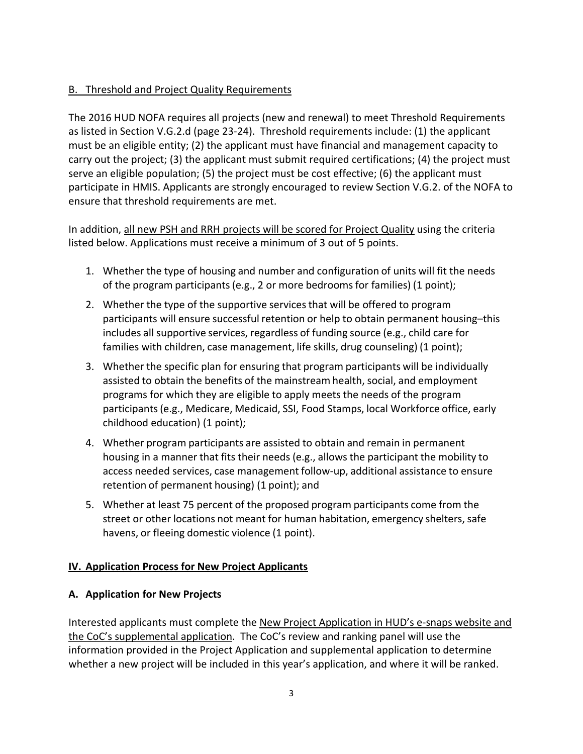# B. Threshold and Project Quality Requirements

The 2016 HUD NOFA requires all projects (new and renewal) to meet Threshold Requirements as listed in Section V.G.2.d (page 23‐24). Threshold requirements include: (1) the applicant must be an eligible entity; (2) the applicant must have financial and management capacity to carry out the project; (3) the applicant must submit required certifications; (4) the project must serve an eligible population; (5) the project must be cost effective; (6) the applicant must participate in HMIS. Applicants are strongly encouraged to review Section V.G.2. of the NOFA to ensure that threshold requirements are met.

In addition, all new PSH and RRH projects will be scored for Project Quality using the criteria listed below. Applications must receive a minimum of 3 out of 5 points.

- 1. Whether the type of housing and number and configuration of units will fit the needs of the program participants(e.g., 2 or more bedroomsfor families) (1 point);
- 2. Whether the type of the supportive servicesthat will be offered to program participants will ensure successful retention or help to obtain permanent housing–this includes all supportive services, regardless of funding source (e.g., child care for families with children, case management, life skills, drug counseling) (1 point);
- 3. Whether the specific plan for ensuring that program participants will be individually assisted to obtain the benefits of the mainstream health, social, and employment programs for which they are eligible to apply meets the needs of the program participants(e.g., Medicare, Medicaid, SSI, Food Stamps, local Workforce office, early childhood education) (1 point);
- 4. Whether program participants are assisted to obtain and remain in permanent housing in a manner that fits their needs (e.g., allows the participant the mobility to access needed services, case management follow‐up, additional assistance to ensure retention of permanent housing) (1 point); and
- 5. Whether at least 75 percent of the proposed program participants come from the street or other locations not meant for human habitation, emergency shelters, safe havens, or fleeing domestic violence (1 point).

## **IV. Application Process for New Project Applicants**

## **A. Application for New Projects**

Interested applicants must complete the New Project Application in HUD's e-snaps website and the CoC's supplemental application. The CoC's review and ranking panel will use the information provided in the Project Application and supplemental application to determine whether a new project will be included in this year's application, and where it will be ranked.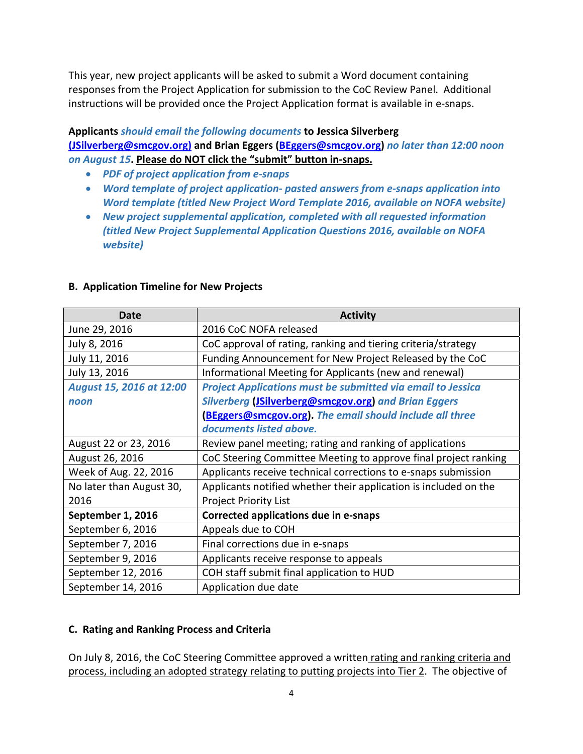This year, new project applicants will be asked to submit a Word document containing responses from the Project Application for submission to the CoC Review Panel. Additional instructions will be provided once the Project Application format is available in e‐snaps.

#### **Applicants** *should email the following documents* **to Jessica Silverberg**

**(JSilverberg@smcgov.org) and Brian Eggers (BEggers@smcgov.org)** *no later than 12:00 noon on August 15***. Please do NOT click the "submit" button in‐snaps.**

- *PDF of project application from e‐snaps*
- *Word template of project application‐ pasted answers from e‐snaps application into Word template (titled New Project Word Template 2016, available on NOFA website)*
- *New project supplemental application, completed with all requested information (titled New Project Supplemental Application Questions 2016, available on NOFA website)*

| Date                     | <b>Activity</b>                                                    |  |
|--------------------------|--------------------------------------------------------------------|--|
| June 29, 2016            | 2016 CoC NOFA released                                             |  |
| July 8, 2016             | CoC approval of rating, ranking and tiering criteria/strategy      |  |
| July 11, 2016            | Funding Announcement for New Project Released by the CoC           |  |
| July 13, 2016            | Informational Meeting for Applicants (new and renewal)             |  |
| August 15, 2016 at 12:00 | <b>Project Applications must be submitted via email to Jessica</b> |  |
| noon                     | Silverberg (JSilverberg@smcgov.org) and Brian Eggers               |  |
|                          | (BEggers@smcgov.org). The email should include all three           |  |
|                          | documents listed above.                                            |  |
| August 22 or 23, 2016    | Review panel meeting; rating and ranking of applications           |  |
| August 26, 2016          | CoC Steering Committee Meeting to approve final project ranking    |  |
| Week of Aug. 22, 2016    | Applicants receive technical corrections to e-snaps submission     |  |
| No later than August 30, | Applicants notified whether their application is included on the   |  |
| 2016                     | <b>Project Priority List</b>                                       |  |
| September 1, 2016        | <b>Corrected applications due in e-snaps</b>                       |  |
| September 6, 2016        | Appeals due to COH                                                 |  |
| September 7, 2016        | Final corrections due in e-snaps                                   |  |
| September 9, 2016        | Applicants receive response to appeals                             |  |
| September 12, 2016       | COH staff submit final application to HUD                          |  |
| September 14, 2016       | Application due date                                               |  |

## **B. Application Timeline for New Projects**

## **C. Rating and Ranking Process and Criteria**

On July 8, 2016, the CoC Steering Committee approved a written rating and ranking criteria and process, including an adopted strategy relating to putting projects into Tier 2. The objective of